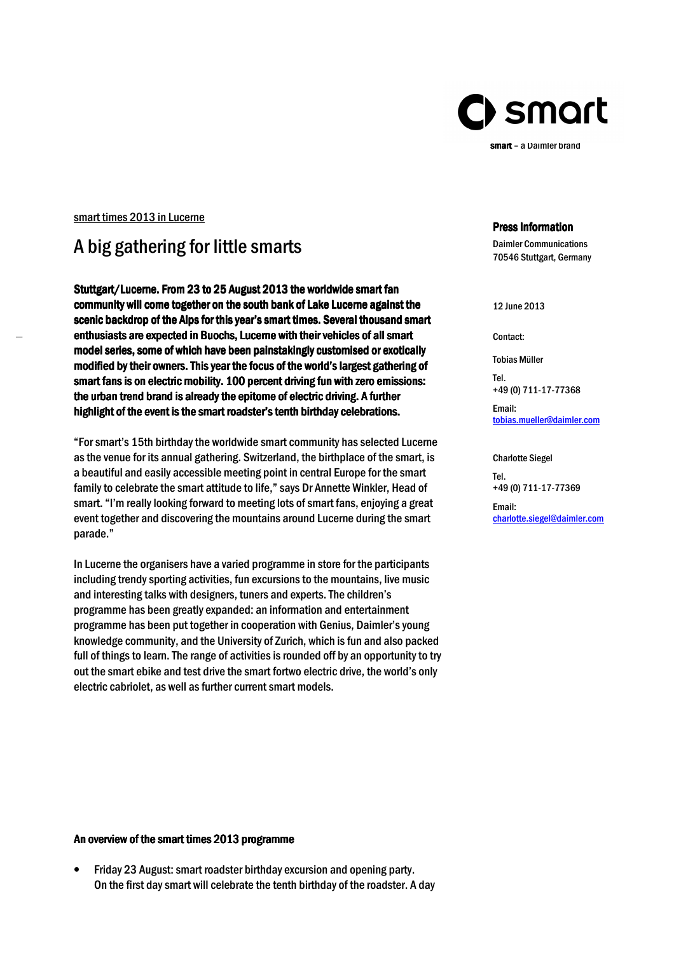

smart – a Daimler brand

### smart times 2013 in Lucerne

# A big gathering for little smarts

Stuttgart/Lucerne. From 23 to 25 August 2013 the worldwide smart fan community will come together on the south bank of Lake Lucerne against the scenic backdrop of the Alps for this year's smart times. Several thousand smart enthusiasts are expected in Buochs, Lucerne with their vehicles of all smart model series, some of which have been painstakingly customised or exotically modified by their owners. This year the focus of the world's largest gathering of smart fans is on electric mobility. 100 percent driving fun with zero emissions: the urban trend brand is already the epitome of electric driving. A further highlight of the event is the smart roadster's tenth birthday celebrations.

"For smart's 15th birthday the worldwide smart community has selected Lucerne as the venue for its annual gathering. Switzerland, the birthplace of the smart, is a beautiful and easily accessible meeting point in central Europe for the smart family to celebrate the smart attitude to life," says Dr Annette Winkler, Head of smart. "I'm really looking forward to meeting lots of smart fans, enjoying a great event together and discovering the mountains around Lucerne during the smart parade."

In Lucerne the organisers have a varied programme in store for the participants including trendy sporting activities, fun excursions to the mountains, live music and interesting talks with designers, tuners and experts. The children's programme has been greatly expanded: an information and entertainment programme has been put together in cooperation with Genius, Daimler's young knowledge community, and the University of Zurich, which is fun and also packed full of things to learn. The range of activities is rounded off by an opportunity to try out the smart ebike and test drive the smart fortwo electric drive, the world's only electric cabriolet, as well as further current smart models.

#### Press Information

Daimler Communications 70546 Stuttgart, Germany

12 June 2013

Contact:

Tobias Müller

Tel. +49 (0) 711-17-77368

Email: tobias.mueller@daimler.com

Charlotte Siegel

Tel. +49 (0) 711-17-77369

Email: charlotte.siegel@daimler.com

## An overview of the smart times 2013 programme

• Friday 23 August: smart roadster birthday excursion and opening party. On the first day smart will celebrate the tenth birthday of the roadster. A day